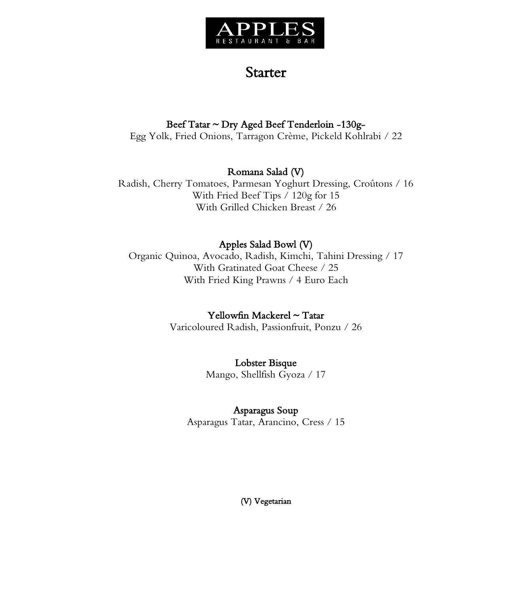

# **Starter**

### Beef Tatar ~ Dry Aged Beef Tenderloin -130g-

Egg Yolk, Fried Onions, Tarragon Crème, Pickeld Kohlrabi / 22

## Romana Salad (V)

Radish, Cherry Tomatoes, Parmesan Yoghurt Dressing, Croûtons / 16 With Fried Beef Tips / 120g for 15 With Grilled Chicken Breast / 26

# Apples Salad Bowl (V)

Organic Quinoa, Avocado, Radish, Kimchi, Tahini Dressing / 17 With Gratinated Goat Cheese / 25 With Fried King Prawns / 4 Euro Each

### Yellowfin Mackerel ~ Tatar

Varicoloured Radish, Passionfruit, Ponzu / 26

### Lobster Bisque

Mango, Shellfish Gyoza / 17

## Asparagus Soup

Asparagus Tatar, Arancino, Cress / 15

(V) Vegetarian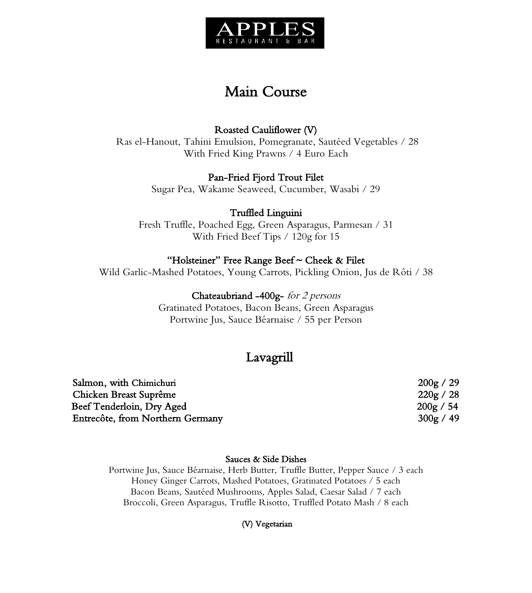

# Main Course

## Roasted Cauliflower (V)

Ras el-Hanout, Tahini Emulsion, Pomegranate, Sautéed Vegetables / 28 With Fried King Prawns / 4 Euro Each

#### Pan-Fried Fjord Trout Filet

Sugar Pea, Wakame Seaweed, Cucumber, Wasabi / 29

### Truffled Linguini

Fresh Truffle, Poached Egg, Green Asparagus, Parmesan / 31 With Fried Beef Tips / 120g for 15

#### "Holsteiner" Free Range Beef ~ Cheek & Filet

Wild Garlic-Mashed Potatoes, Young Carrots, Pickling Onion, Jus de Rôti / 38

#### Chateaubriand -400g- for 2 persons

Gratinated Potatoes, Bacon Beans, Green Asparagus Portwine Jus, Sauce Béarnaise / 55 per Person

# Lavagrill

| 200g / 29 |
|-----------|
| 220g / 28 |
| 200g / 54 |
| 300g / 49 |
|           |

#### Sauces & Side Dishes

Portwine Jus, Sauce Béarnaise, Herb Butter, Truffle Butter, Pepper Sauce / 3 each Honey Ginger Carrots, Mashed Potatoes, Gratinated Potatoes / 5 each Bacon Beans, Sautéed Mushrooms, Apples Salad, Caesar Salad / 7 each Broccoli, Green Asparagus, Truffle Risotto, Truffled Potato Mash / 8 each

#### (V) Vegetarian